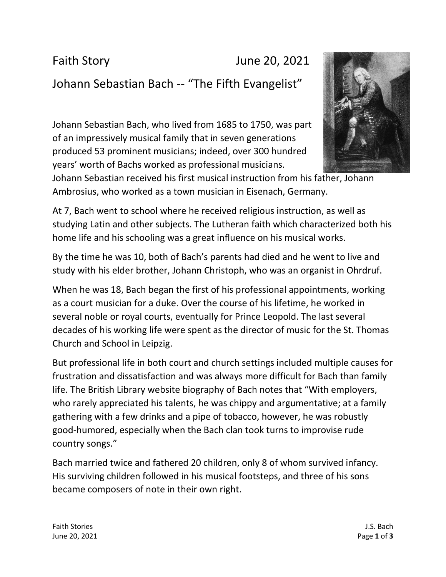Faith Story **June 20, 2021** 

## Johann Sebastian Bach -- "The Fifth Evangelist"

Johann Sebastian Bach, who lived from 1685 to 1750, was part of an impressively musical family that in seven generations produced 53 prominent musicians; indeed, over 300 hundred years' worth of Bachs worked as professional musicians.



Johann Sebastian received his first musical instruction from his father, Johann Ambrosius, who worked as a town musician in Eisenach, Germany.

At 7, Bach went to school where he received religious instruction, as well as studying Latin and other subjects. The Lutheran faith which characterized both his home life and his schooling was a great influence on his musical works.

By the time he was 10, both of Bach's parents had died and he went to live and study with his elder brother, Johann Christoph, who was an organist in Ohrdruf.

When he was 18, Bach began the first of his professional appointments, working as a court musician for a duke. Over the course of his lifetime, he worked in several noble or royal courts, eventually for Prince Leopold. The last several decades of his working life were spent as the director of music for the St. Thomas Church and School in Leipzig.

But professional life in both court and church settings included multiple causes for frustration and dissatisfaction and was always more difficult for Bach than family life. The British Library website biography of Bach notes that "With employers, who rarely appreciated his talents, he was chippy and argumentative; at a family gathering with a few drinks and a pipe of tobacco, however, he was robustly good-humored, especially when the Bach clan took turns to improvise rude country songs."

Bach married twice and fathered 20 children, only 8 of whom survived infancy. His surviving children followed in his musical footsteps, and three of his sons became composers of note in their own right.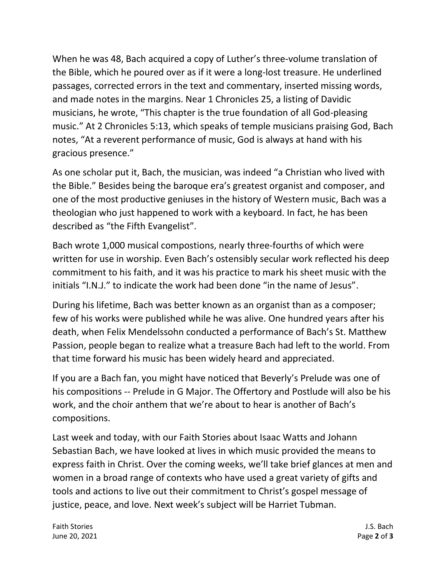When he was 48, Bach acquired a copy of Luther's three-volume translation of the Bible, which he poured over as if it were a long-lost treasure. He underlined passages, corrected errors in the text and commentary, inserted missing words, and made notes in the margins. Near 1 Chronicles 25, a listing of Davidic musicians, he wrote, "This chapter is the true foundation of all God-pleasing music." At 2 Chronicles 5:13, which speaks of temple musicians praising God, Bach notes, "At a reverent performance of music, God is always at hand with his gracious presence."

As one scholar put it, Bach, the musician, was indeed "a Christian who lived with the Bible." Besides being the baroque era's greatest organist and composer, and one of the most productive geniuses in the history of Western music, Bach was a theologian who just happened to work with a keyboard. In fact, he has been described as "the Fifth Evangelist".

Bach wrote 1,000 musical compostions, nearly three-fourths of which were written for use in worship. Even Bach's ostensibly secular work reflected his deep commitment to his faith, and it was his practice to mark his sheet music with the initials "I.N.J." to indicate the work had been done "in the name of Jesus".

During his lifetime, Bach was better known as an organist than as a composer; few of his works were published while he was alive. One hundred years after his death, when Felix Mendelssohn conducted a performance of Bach's St. Matthew Passion, people began to realize what a treasure Bach had left to the world. From that time forward his music has been widely heard and appreciated.

If you are a Bach fan, you might have noticed that Beverly's Prelude was one of his compositions -- Prelude in G Major. The Offertory and Postlude will also be his work, and the choir anthem that we're about to hear is another of Bach's compositions.

Last week and today, with our Faith Stories about Isaac Watts and Johann Sebastian Bach, we have looked at lives in which music provided the means to express faith in Christ. Over the coming weeks, we'll take brief glances at men and women in a broad range of contexts who have used a great variety of gifts and tools and actions to live out their commitment to Christ's gospel message of justice, peace, and love. Next week's subject will be Harriet Tubman.